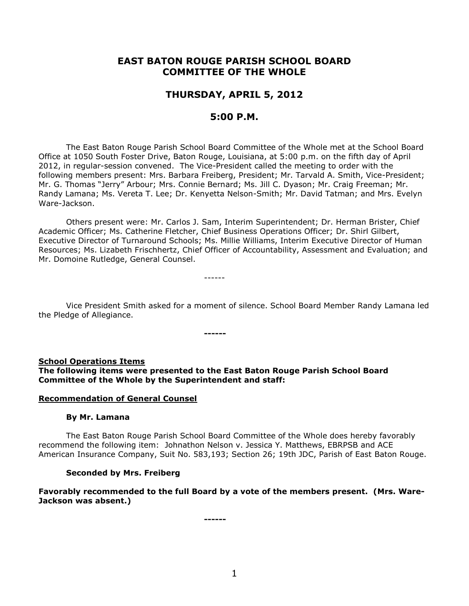# **EAST BATON ROUGE PARISH SCHOOL BOARD COMMITTEE OF THE WHOLE**

## **THURSDAY, APRIL 5, 2012**

## **5:00 P.M.**

The East Baton Rouge Parish School Board Committee of the Whole met at the School Board Office at 1050 South Foster Drive, Baton Rouge, Louisiana, at 5:00 p.m. on the fifth day of April 2012, in regular-session convened. The Vice-President called the meeting to order with the following members present: Mrs. Barbara Freiberg, President; Mr. Tarvald A. Smith, Vice-President; Mr. G. Thomas "Jerry" Arbour; Mrs. Connie Bernard; Ms. Jill C. Dyason; Mr. Craig Freeman; Mr. Randy Lamana; Ms. Vereta T. Lee; Dr. Kenyetta Nelson-Smith; Mr. David Tatman; and Mrs. Evelyn Ware-Jackson.

Others present were: Mr. Carlos J. Sam, Interim Superintendent; Dr. Herman Brister, Chief Academic Officer; Ms. Catherine Fletcher, Chief Business Operations Officer; Dr. Shirl Gilbert, Executive Director of Turnaround Schools; Ms. Millie Williams, Interim Executive Director of Human Resources; Ms. Lizabeth Frischhertz, Chief Officer of Accountability, Assessment and Evaluation; and Mr. Domoine Rutledge, General Counsel.

------

Vice President Smith asked for a moment of silence. School Board Member Randy Lamana led the Pledge of Allegiance.

**School Operations Items**

**The following items were presented to the East Baton Rouge Parish School Board Committee of the Whole by the Superintendent and staff:**

**------**

#### **Recommendation of General Counsel**

#### **By Mr. Lamana**

The East Baton Rouge Parish School Board Committee of the Whole does hereby favorably recommend the following item: Johnathon Nelson v. Jessica Y. Matthews, EBRPSB and ACE American Insurance Company, Suit No. 583,193; Section 26; 19th JDC, Parish of East Baton Rouge.

#### **Seconded by Mrs. Freiberg**

## **Favorably recommended to the full Board by a vote of the members present. (Mrs. Ware-Jackson was absent.)**

**------**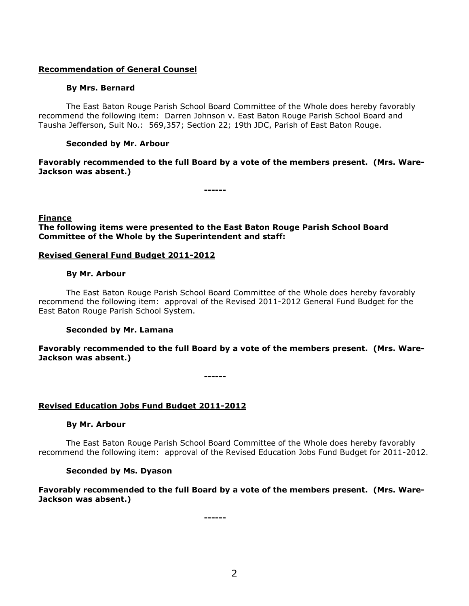## **Recommendation of General Counsel**

## **By Mrs. Bernard**

The East Baton Rouge Parish School Board Committee of the Whole does hereby favorably recommend the following item: Darren Johnson v. East Baton Rouge Parish School Board and Tausha Jefferson, Suit No.: 569,357; Section 22; 19th JDC, Parish of East Baton Rouge.

## **Seconded by Mr. Arbour**

**Favorably recommended to the full Board by a vote of the members present. (Mrs. Ware-Jackson was absent.)**

**------**

#### **Finance**

**The following items were presented to the East Baton Rouge Parish School Board Committee of the Whole by the Superintendent and staff:**

#### **Revised General Fund Budget 2011-2012**

#### **By Mr. Arbour**

The East Baton Rouge Parish School Board Committee of the Whole does hereby favorably recommend the following item: approval of the Revised 2011-2012 General Fund Budget for the East Baton Rouge Parish School System.

## **Seconded by Mr. Lamana**

**Favorably recommended to the full Board by a vote of the members present. (Mrs. Ware-Jackson was absent.)**

**------**

## **Revised Education Jobs Fund Budget 2011-2012**

## **By Mr. Arbour**

The East Baton Rouge Parish School Board Committee of the Whole does hereby favorably recommend the following item: approval of the Revised Education Jobs Fund Budget for 2011-2012.

## **Seconded by Ms. Dyason**

**Favorably recommended to the full Board by a vote of the members present. (Mrs. Ware-Jackson was absent.)**

**------**